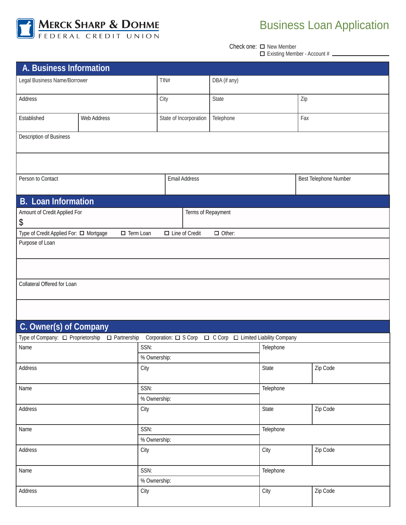

## Business Loan Application

Check one: □ New Member

|  |  |  | $\Box$ Existing Member - Account # |
|--|--|--|------------------------------------|
|--|--|--|------------------------------------|

| A. Business Information                |                    |                        |                                      |           |  |  |
|----------------------------------------|--------------------|------------------------|--------------------------------------|-----------|--|--|
| Legal Business Name/Borrower           |                    | TIN#                   | DBA (if any)                         |           |  |  |
| Address                                |                    | City                   | State                                | Zip       |  |  |
| Established                            | Web Address        | State of Incorporation | Telephone                            | Fax       |  |  |
| Description of Business                |                    |                        |                                      |           |  |  |
|                                        |                    |                        |                                      |           |  |  |
| Person to Contact                      |                    | Email Address          | Best Telephone Number                |           |  |  |
| <b>B.</b> Loan Information             |                    |                        |                                      |           |  |  |
| Amount of Credit Applied For           |                    | Terms of Repayment     |                                      |           |  |  |
| \$                                     |                    |                        |                                      |           |  |  |
| Type of Credit Applied For: □ Mortgage | $\Box$ Term Loan   | $\Box$ Line of Credit  | $\Box$ Other:                        |           |  |  |
| Purpose of Loan                        |                    |                        |                                      |           |  |  |
|                                        |                    |                        |                                      |           |  |  |
|                                        |                    |                        |                                      |           |  |  |
|                                        |                    |                        |                                      |           |  |  |
| Collateral Offered for Loan            |                    |                        |                                      |           |  |  |
|                                        |                    |                        |                                      |           |  |  |
|                                        |                    |                        |                                      |           |  |  |
| C. Owner(s) of Company                 |                    |                        |                                      |           |  |  |
| Type of Company: □ Proprietorship      | $\Box$ Partnership | Corporation: □ S Corp  | □ C Corp □ Limited Liability Company |           |  |  |
| Name                                   | SSN:               |                        |                                      | Telephone |  |  |
|                                        |                    | % Ownership:           |                                      |           |  |  |
| Address                                | City               |                        | State                                | Zip Code  |  |  |
|                                        |                    |                        |                                      |           |  |  |
| Name                                   | SSN:               |                        | Telephone                            |           |  |  |
|                                        |                    | % Ownership:           |                                      |           |  |  |
| Address                                | City               |                        | State                                | Zip Code  |  |  |
|                                        |                    |                        |                                      |           |  |  |
| SSN:<br>Name                           |                    |                        | Telephone                            |           |  |  |
|                                        |                    | % Ownership:           |                                      |           |  |  |
| Address                                | City               |                        | City                                 | Zip Code  |  |  |
| Name                                   |                    |                        | Telephone                            |           |  |  |
| SSN:<br>% Ownership:                   |                    |                        |                                      |           |  |  |
| Address                                | City               |                        | City                                 | Zip Code  |  |  |
|                                        |                    |                        |                                      |           |  |  |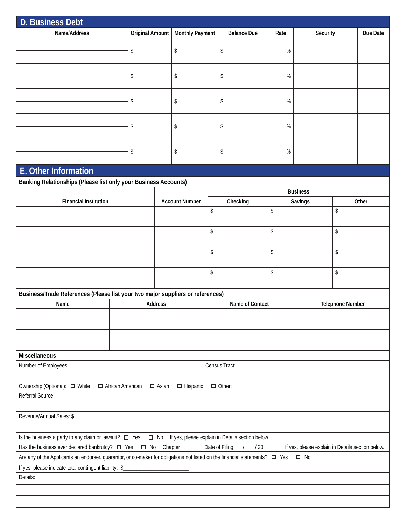| <b>D. Business Debt</b>                                                                                                                                                                                                                  |                         |              |                        |    |                    |                  |                 |          |    |  |
|------------------------------------------------------------------------------------------------------------------------------------------------------------------------------------------------------------------------------------------|-------------------------|--------------|------------------------|----|--------------------|------------------|-----------------|----------|----|--|
| Name/Address                                                                                                                                                                                                                             | <b>Original Amount</b>  |              | <b>Monthly Payment</b> |    | <b>Balance Due</b> | Rate<br>Security |                 | Due Date |    |  |
|                                                                                                                                                                                                                                          | \$                      |              | \$                     |    | \$                 | $\%$             |                 |          |    |  |
|                                                                                                                                                                                                                                          |                         |              |                        |    |                    |                  |                 |          |    |  |
|                                                                                                                                                                                                                                          | \$                      |              | \$                     |    | \$                 | $\%$             |                 |          |    |  |
|                                                                                                                                                                                                                                          | \$                      |              | \$                     | \$ |                    | $\%$             |                 |          |    |  |
|                                                                                                                                                                                                                                          | \$                      |              |                        |    | \$                 | $\%$             |                 |          |    |  |
|                                                                                                                                                                                                                                          | \$                      |              | \$                     |    | \$                 | $\%$             |                 |          |    |  |
| E. Other Information                                                                                                                                                                                                                     |                         |              |                        |    |                    |                  |                 |          |    |  |
| Banking Relationships (Please list only your Business Accounts)                                                                                                                                                                          |                         |              |                        |    |                    |                  |                 |          |    |  |
|                                                                                                                                                                                                                                          |                         |              |                        |    |                    |                  | <b>Business</b> |          |    |  |
| <b>Financial Institution</b>                                                                                                                                                                                                             |                         |              | <b>Account Number</b>  |    | Checking           |                  | Savings         | Other    |    |  |
|                                                                                                                                                                                                                                          |                         |              |                        | \$ |                    | \$               |                 |          | \$ |  |
|                                                                                                                                                                                                                                          |                         |              |                        | \$ |                    | \$               |                 | \$       |    |  |
|                                                                                                                                                                                                                                          |                         |              | \$                     |    |                    | \$               |                 | \$       |    |  |
|                                                                                                                                                                                                                                          |                         |              |                        | \$ |                    | \$               |                 | \$       |    |  |
| Business/Trade References (Please list your two major suppliers or references)                                                                                                                                                           |                         |              |                        |    |                    |                  |                 |          |    |  |
| <b>Address</b><br>Name of Contact<br><b>Telephone Number</b><br>Name                                                                                                                                                                     |                         |              |                        |    |                    |                  |                 |          |    |  |
|                                                                                                                                                                                                                                          |                         |              |                        |    |                    |                  |                 |          |    |  |
|                                                                                                                                                                                                                                          |                         |              |                        |    |                    |                  |                 |          |    |  |
| <b>Miscellaneous</b>                                                                                                                                                                                                                     |                         |              |                        |    |                    |                  |                 |          |    |  |
| Census Tract:<br>Number of Employees:                                                                                                                                                                                                    |                         |              |                        |    |                    |                  |                 |          |    |  |
| Ownership (Optional): □ White                                                                                                                                                                                                            | $\Box$ African American | $\Box$ Asian | $\Box$ Hispanic        |    | $\Box$ Other:      |                  |                 |          |    |  |
| Referral Source:                                                                                                                                                                                                                         |                         |              |                        |    |                    |                  |                 |          |    |  |
| Revenue/Annual Sales: \$                                                                                                                                                                                                                 |                         |              |                        |    |                    |                  |                 |          |    |  |
| Is the business a party to any claim or lawsuit? $\Box$ Yes $\Box$ No If yes, please explain in Details section below.                                                                                                                   |                         |              |                        |    |                    |                  |                 |          |    |  |
| Has the business ever declared bankrutcy? $\Box$ Yes $\Box$ No Chapter _____<br>Date of Filing:<br>$\sqrt{2}$<br>/20<br>If yes, please explain in Details section below.                                                                 |                         |              |                        |    |                    |                  |                 |          |    |  |
| Are any of the Applicants an endorser, guarantor, or co-maker for obligations not listed on the financial statements? $\square$ Yes<br>$\square$ No<br>If yes, please indicate total contingent liability: \$___________________________ |                         |              |                        |    |                    |                  |                 |          |    |  |
| Details:                                                                                                                                                                                                                                 |                         |              |                        |    |                    |                  |                 |          |    |  |
|                                                                                                                                                                                                                                          |                         |              |                        |    |                    |                  |                 |          |    |  |
|                                                                                                                                                                                                                                          |                         |              |                        |    |                    |                  |                 |          |    |  |